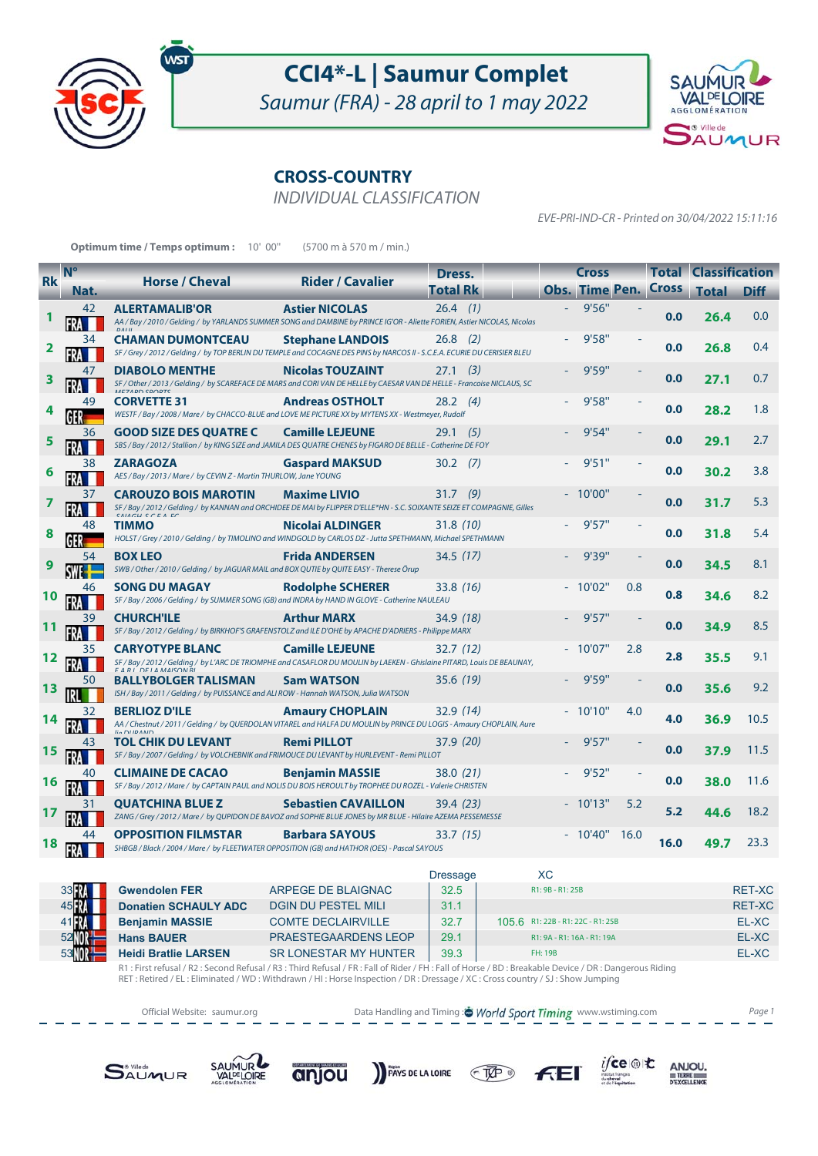

## **CCI4\*-L | Saumur Complet**

Saumur (FRA) - 28 april to 1 may 2022



## **CROSS-COUNTRY**

INDIVIDUAL CLASSIFICATION

EVE-PRI-IND-CR - Printed on 30/04/2022 15:11:16

 $i$ fce

institut français<br>du cheval<br>et de l'équitatio

 $\underset{\substack{\text{D}{\text{ERRE}}\\ \text{D}{\text{EXCELLINE}}}}{\text{AP}}$ 

| <b>Optimum time / Temps optimum :</b> 10' 00"<br>(5700 m à 570 m / min.) |               |                                                                                                                                                            |                              |                  |                                   |                  |                             |      |      |                             |               |
|--------------------------------------------------------------------------|---------------|------------------------------------------------------------------------------------------------------------------------------------------------------------|------------------------------|------------------|-----------------------------------|------------------|-----------------------------|------|------|-----------------------------|---------------|
| $N^{\circ}$                                                              |               |                                                                                                                                                            |                              | Dress.           |                                   | <b>Cross</b>     |                             |      |      | <b>Total Classification</b> |               |
| <b>Rk</b>                                                                | Nat.          | <b>Horse / Cheval</b>                                                                                                                                      | <b>Rider / Cavalier</b>      | <b>Total Rk</b>  |                                   |                  | <b>Obs. Time Pen. Cross</b> |      |      | Total                       | <b>Diff</b>   |
|                                                                          | 42            | <b>ALERTAMALIB'OR</b>                                                                                                                                      | <b>Astier NICOLAS</b>        | $26.4$ (1)       |                                   |                  | 9'56''                      |      |      |                             |               |
|                                                                          |               | AA / Bay / 2010 / Gelding / by YARLANDS SUMMER SONG and DAMBINE by PRINCE IG'OR - Aliette FORIEN, Astier NICOLAS, Nicolas                                  |                              |                  |                                   |                  |                             |      | 0.0  | 26.4                        | 0.0           |
|                                                                          | 34            | <b>CHAMAN DUMONTCEAU</b>                                                                                                                                   | <b>Stephane LANDOIS</b>      | $26.8$ (2)       |                                   |                  | 9'58"                       |      |      |                             |               |
| 2                                                                        |               | SF / Grey / 2012 / Gelding / by TOP BERLIN DU TEMPLE and COCAGNE DES PINS by NARCOS II - S.C.E.A. ECURIE DU CERISIER BLEU                                  |                              |                  |                                   |                  |                             |      | 0.0  | 26.8                        | 0.4           |
|                                                                          | 47            | <b>DIABOLO MENTHE</b>                                                                                                                                      | <b>Nicolas TOUZAINT</b>      | $27.1$ (3)       |                                   |                  | 9'59"                       |      | 0.0  | 27.1                        | 0.7           |
| 3                                                                        |               | SF / Other / 2013 / Gelding / by SCAREFACE DE MARS and CORI VAN DE HELLE by CAESAR VAN DE HELLE - Francoise NICLAUS, SC<br>MEZADO COODTO                   |                              |                  |                                   |                  |                             |      |      |                             |               |
|                                                                          | 49            | <b>CORVETTE 31</b>                                                                                                                                         | <b>Andreas OSTHOLT</b>       | $28.2 \quad (4)$ |                                   |                  | 9'58"                       |      | 0.0  | 28.2                        | 1.8           |
|                                                                          |               | WESTF / Bay / 2008 / Mare / by CHACCO-BLUE and LOVE ME PICTURE XX by MYTENS XX - Westmeyer, Rudolf                                                         |                              |                  |                                   |                  |                             |      |      |                             |               |
| 5                                                                        | 36            | <b>GOOD SIZE DES QUATRE C</b><br>SBS / Bay / 2012 / Stallion / by KING SIZE and JAMILA DES QUATRE CHENES by FIGARO DE BELLE - Catherine DE FOY             | <b>Camille LEJEUNE</b>       | (5)<br>29.1      |                                   |                  | 9'54"                       |      | 0.0  | 29.1                        | 2.7           |
|                                                                          | 38            | <b>ZARAGOZA</b>                                                                                                                                            | <b>Gaspard MAKSUD</b>        | $30.2$ (7)       |                                   |                  | 9'51''                      |      |      |                             |               |
|                                                                          |               | AES / Bay / 2013 / Mare / by CEVIN Z - Martin THURLOW, Jane YOUNG                                                                                          |                              |                  |                                   |                  |                             |      | 0.0  | 30.2                        | 3.8           |
|                                                                          | 37            | <b>CAROUZO BOIS MAROTIN</b>                                                                                                                                | <b>Maxime LIVIO</b>          | $31.7$ (9)       |                                   |                  | 10'00"                      |      |      |                             |               |
| 7                                                                        |               | SF / Bay / 2012 / Gelding / by KANNAN and ORCHIDEE DE MAI by FLIPPER D'ELLE*HN - S.C. SOIXANTE SEIZE ET COMPAGNIE, Gilles<br>CAIACH CCCA EC                |                              |                  |                                   |                  |                             |      | 0.0  | 31.7                        | 5.3           |
|                                                                          | 48            | <b>TIMMO</b>                                                                                                                                               | Nicolai ALDINGER             | 31.8(10)         |                                   |                  | 9'57''                      |      | 0.0  |                             | 5.4           |
|                                                                          |               | HOLST / Grey / 2010 / Gelding / by TIMOLINO and WINDGOLD by CARLOS DZ - Jutta SPETHMANN, Michael SPETHMANN                                                 |                              |                  |                                   |                  |                             |      |      | 31.8                        |               |
| 9                                                                        | 54            | <b>BOX LEO</b>                                                                                                                                             | <b>Frida ANDERSEN</b>        | 34.5 (17)        |                                   |                  | 9'39"                       |      | 0.0  | 34.5                        | 8.1           |
|                                                                          |               | SWB / Other / 2010 / Gelding / by JAGUAR MAIL and BOX QUTIE by QUITE EASY - Therese Örup                                                                   |                              |                  |                                   |                  |                             |      |      |                             |               |
|                                                                          | 46            | SONG DU MAGAY<br>SF / Bay / 2006 / Gelding / by SUMMER SONG (GB) and INDRA by HAND IN GLOVE - Catherine NAULEAU                                            | <b>Rodolphe SCHERER</b>      | 33.8 (16)        |                                   |                  | 10'02"                      | 0.8  | 0.8  | 34.6                        | 8.2           |
|                                                                          | 39            | <b>CHURCH'ILE</b>                                                                                                                                          | <b>Arthur MARX</b>           | 34.9 (18)        |                                   |                  | 9'57''                      |      |      |                             |               |
|                                                                          |               | SF / Bay / 2012 / Gelding / by BIRKHOF'S GRAFENSTOLZ and ILE D'OHE by APACHE D'ADRIERS - Philippe MARX                                                     |                              |                  |                                   |                  |                             |      | 0.0  | 34.9                        | 8.5           |
|                                                                          | 35            | <b>CARYOTYPE BLANC</b>                                                                                                                                     | <b>Camille LEJEUNE</b>       | 32.7(12)         |                                   |                  | $-10'07"$                   | 2.8  |      |                             |               |
| 12                                                                       |               | SF / Bay / 2012 / Gelding / by L'ARC DE TRIOMPHE and CASAFLOR DU MOULIN by LAEKEN - Ghislaine PITARD, Louis DE BEAUNAY,<br>$E A D I \cap E I A MAICON D I$ |                              |                  |                                   |                  |                             |      | 2.8  | 35.5                        | 9.1           |
|                                                                          | 50            | <b>BALLYBOLGER TALISMAN</b>                                                                                                                                | <b>Sam WATSON</b>            | 35.6 (19)        |                                   |                  | 9'59"                       |      | 0.0  |                             | 9.2           |
| 13                                                                       |               | ISH / Bay / 2011 / Gelding / by PUISSANCE and ALI ROW - Hannah WATSON, Julia WATSON                                                                        |                              |                  |                                   |                  |                             |      |      | 35.6                        |               |
|                                                                          | 32            | <b>BERLIOZ D'ILE</b>                                                                                                                                       | <b>Amaury CHOPLAIN</b>       | 32.9 (14)        |                                   |                  | 10'10"                      | 4.0  | 4.0  | 36.9                        | 10.5          |
|                                                                          |               | AA / Chestnut / 2011 / Gelding / by QUERDOLAN VITAREL and HALFA DU MOULIN by PRINCE DU LOGIS - Amaury CHOPLAIN, Aure<br>$E_2$ $DIDAND$                     |                              |                  |                                   |                  |                             |      |      |                             |               |
| 15                                                                       | 43            | TOL CHIK DU LEVANT<br>SF / Bay / 2007 / Gelding / by VOLCHEBNIK and FRIMOUCE DU LEVANT by HURLEVENT - Remi PILLOT                                          | <b>Remi PILLOT</b>           | 37.9 (20)        |                                   |                  | 9'57'                       |      | 0.0  | 37.9                        | 11.5          |
|                                                                          | 40            | <b>CLIMAINE DE CACAO</b>                                                                                                                                   | <b>Benjamin MASSIE</b>       | 38.0 (21)        |                                   |                  | 9'52"                       |      |      |                             |               |
| 16                                                                       |               | SF / Bay / 2012 / Mare / by CAPTAIN PAUL and NOLIS DU BOIS HEROULT by TROPHEE DU ROZEL - Valerie CHRISTEN                                                  |                              |                  |                                   |                  |                             |      | 0.0  | 38.0                        | 11.6          |
|                                                                          | 31            | QUATCHINA BLUE Z                                                                                                                                           | <b>Sebastien CAVAILLON</b>   | 39.4 (23)        |                                   |                  | 10'13"                      | 5.2  |      |                             |               |
|                                                                          |               | ZANG / Grey / 2012 / Mare / by QUPIDON DE BAVOZ and SOPHIE BLUE JONES by MR BLUE - Hilaire AZEMA PESSEMESSE                                                |                              |                  |                                   |                  |                             |      | 5.2  | 44.6                        | 18.2          |
|                                                                          |               | <b>OPPOSITION FILMSTAR</b>                                                                                                                                 | <b>Barbara SAYOUS</b>        | 33.7(15)         |                                   |                  | $-10'40''$                  | 16.0 | 16.0 | 49.7                        | 23.3          |
|                                                                          |               | SHBGB / Black / 2004 / Mare / by FLEETWATER OPPOSITION (GB) and HATHOR (OES) - Pascal SAYOUS                                                               |                              |                  |                                   |                  |                             |      |      |                             |               |
|                                                                          |               |                                                                                                                                                            |                              | <b>Dressage</b>  |                                   | XC               |                             |      |      |                             |               |
|                                                                          | 33            | <b>Gwendolen FER</b>                                                                                                                                       | ARPEGE DE BLAIGNAC           | 32.5             |                                   | R1: 9B - R1: 25B |                             |      |      |                             | <b>RET-XC</b> |
|                                                                          | 45 视          | <b>Donatien SCHAULY ADC</b>                                                                                                                                | <b>DGIN DU PESTEL MILI</b>   | 31.1             |                                   |                  |                             |      |      |                             | <b>RET-XC</b> |
|                                                                          |               | <b>Benjamin MASSIE</b>                                                                                                                                     | <b>COMTE DECLAIRVILLE</b>    | 32.7             | 105.6 R1: 22B - R1: 22C - R1: 25B |                  |                             |      |      |                             | EL-XC         |
|                                                                          | 52            | <b>Hans BAUER</b>                                                                                                                                          | PRAESTEGAARDENS LEOP         | 29.1             |                                   |                  | R1: 9A - R1: 16A - R1: 19A  |      |      |                             | EL-XC         |
|                                                                          | 53 <b>111</b> | <b>Heidi Bratlie LARSEN</b>                                                                                                                                | <b>SR LONESTAR MY HUNTER</b> | 39.3             |                                   | FH: 19B          |                             |      |      |                             | EL-XC         |

R1 : First refusal / R2 : Second Refusal / R3 : Third Refusal / FR : Fall of Rider / FH : Fall of Horse / BD : Breakable Device / DR : Dangerous Riding<br>RET : Retired / EL : Eliminated / WD : Withdrawn / HI : Horse Inspecti



 $C\overline{W}$ 

 $F<sub>E</sub>$ 

PAYS DE LA LOIRE